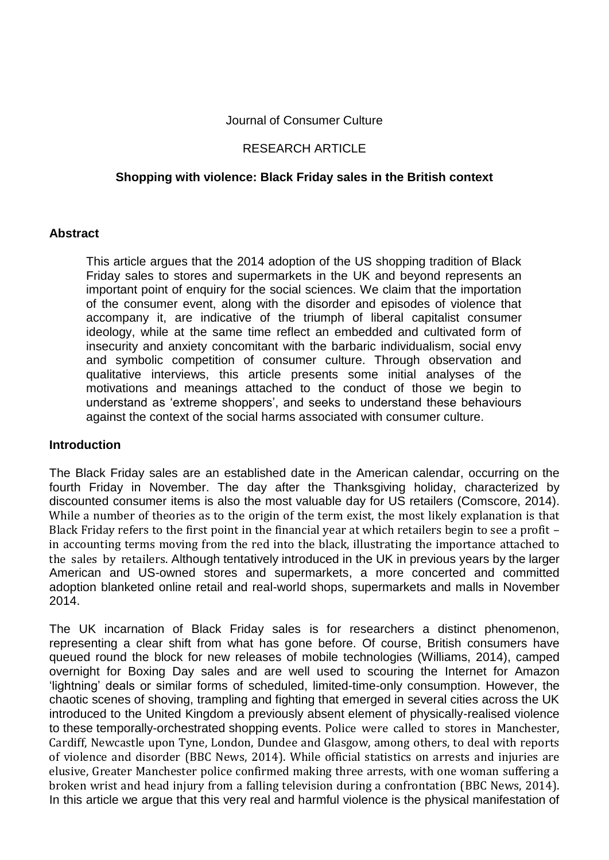### Journal of Consumer Culture

## RESEARCH ARTICLE

### **Shopping with violence: Black Friday sales in the British context**

#### **Abstract**

This article argues that the 2014 adoption of the US shopping tradition of Black Friday sales to stores and supermarkets in the UK and beyond represents an important point of enquiry for the social sciences. We claim that the importation of the consumer event, along with the disorder and episodes of violence that accompany it, are indicative of the triumph of liberal capitalist consumer ideology, while at the same time reflect an embedded and cultivated form of insecurity and anxiety concomitant with the barbaric individualism, social envy and symbolic competition of consumer culture. Through observation and qualitative interviews, this article presents some initial analyses of the motivations and meanings attached to the conduct of those we begin to understand as 'extreme shoppers', and seeks to understand these behaviours against the context of the social harms associated with consumer culture.

#### **Introduction**

The Black Friday sales are an established date in the American calendar, occurring on the fourth Friday in November. The day after the Thanksgiving holiday, characterized by discounted consumer items is also the most valuable day for US retailers (Comscore, 2014). While a number of theories as to the origin of the term exist, the most likely explanation is that Black Friday refers to the first point in the financial year at which retailers begin to see a profit – in accounting terms moving from the red into the black, illustrating the importance attached to the sales by retailers. Although tentatively introduced in the UK in previous years by the larger American and US-owned stores and supermarkets, a more concerted and committed adoption blanketed online retail and real-world shops, supermarkets and malls in November 2014.

The UK incarnation of Black Friday sales is for researchers a distinct phenomenon, representing a clear shift from what has gone before. Of course, British consumers have queued round the block for new releases of mobile technologies (Williams, 2014), camped overnight for Boxing Day sales and are well used to scouring the Internet for Amazon 'lightning' deals or similar forms of scheduled, limited-time-only consumption. However, the chaotic scenes of shoving, trampling and fighting that emerged in several cities across the UK introduced to the United Kingdom a previously absent element of physically-realised violence to these temporally-orchestrated shopping events. Police were called to stores in Manchester, Cardiff, Newcastle upon Tyne, London, Dundee and Glasgow, among others, to deal with reports of violence and disorder (BBC News, 2014). While official statistics on arrests and injuries are elusive, Greater Manchester police confirmed making three arrests, with one woman suffering a broken wrist and head injury from a falling television during a confrontation (BBC News, 2014). In this article we argue that this very real and harmful violence is the physical manifestation of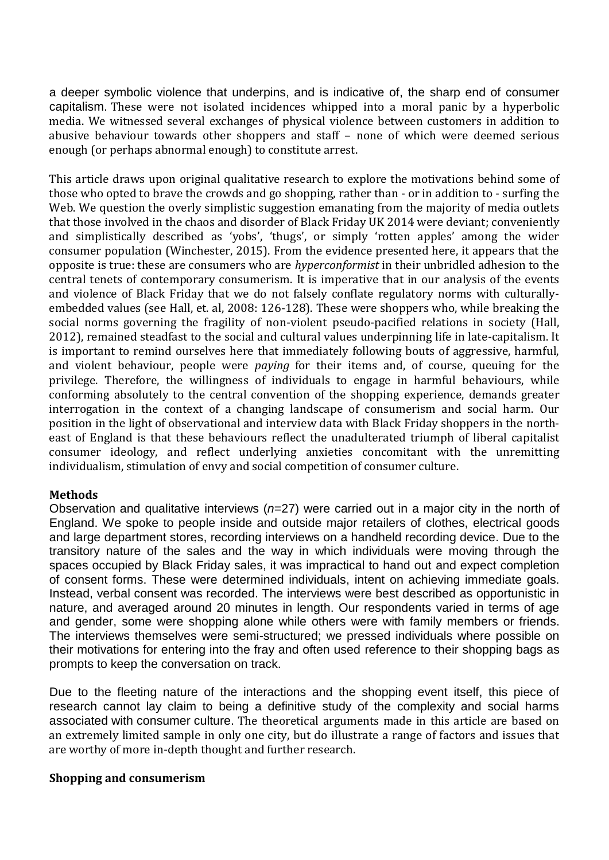a deeper symbolic violence that underpins, and is indicative of, the sharp end of consumer capitalism. These were not isolated incidences whipped into a moral panic by a hyperbolic media. We witnessed several exchanges of physical violence between customers in addition to abusive behaviour towards other shoppers and staff – none of which were deemed serious enough (or perhaps abnormal enough) to constitute arrest.

This article draws upon original qualitative research to explore the motivations behind some of those who opted to brave the crowds and go shopping, rather than - or in addition to - surfing the Web. We question the overly simplistic suggestion emanating from the majority of media outlets that those involved in the chaos and disorder of Black Friday UK 2014 were deviant; conveniently and simplistically described as 'yobs', 'thugs', or simply 'rotten apples' among the wider consumer population (Winchester, 2015). From the evidence presented here, it appears that the opposite is true: these are consumers who are *hyperconformist* in their unbridled adhesion to the central tenets of contemporary consumerism. It is imperative that in our analysis of the events and violence of Black Friday that we do not falsely conflate regulatory norms with culturallyembedded values (see Hall, et. al, 2008: 126-128). These were shoppers who, while breaking the social norms governing the fragility of non-violent pseudo-pacified relations in society (Hall, 2012), remained steadfast to the social and cultural values underpinning life in late-capitalism. It is important to remind ourselves here that immediately following bouts of aggressive, harmful, and violent behaviour, people were *paying* for their items and, of course, queuing for the privilege. Therefore, the willingness of individuals to engage in harmful behaviours, while conforming absolutely to the central convention of the shopping experience, demands greater interrogation in the context of a changing landscape of consumerism and social harm. Our position in the light of observational and interview data with Black Friday shoppers in the northeast of England is that these behaviours reflect the unadulterated triumph of liberal capitalist consumer ideology, and reflect underlying anxieties concomitant with the unremitting individualism, stimulation of envy and social competition of consumer culture.

### **Methods**

Observation and qualitative interviews (*n*=27) were carried out in a major city in the north of England. We spoke to people inside and outside major retailers of clothes, electrical goods and large department stores, recording interviews on a handheld recording device. Due to the transitory nature of the sales and the way in which individuals were moving through the spaces occupied by Black Friday sales, it was impractical to hand out and expect completion of consent forms. These were determined individuals, intent on achieving immediate goals. Instead, verbal consent was recorded. The interviews were best described as opportunistic in nature, and averaged around 20 minutes in length. Our respondents varied in terms of age and gender, some were shopping alone while others were with family members or friends. The interviews themselves were semi-structured; we pressed individuals where possible on their motivations for entering into the fray and often used reference to their shopping bags as prompts to keep the conversation on track.

Due to the fleeting nature of the interactions and the shopping event itself, this piece of research cannot lay claim to being a definitive study of the complexity and social harms associated with consumer culture. The theoretical arguments made in this article are based on an extremely limited sample in only one city, but do illustrate a range of factors and issues that are worthy of more in-depth thought and further research.

### **Shopping and consumerism**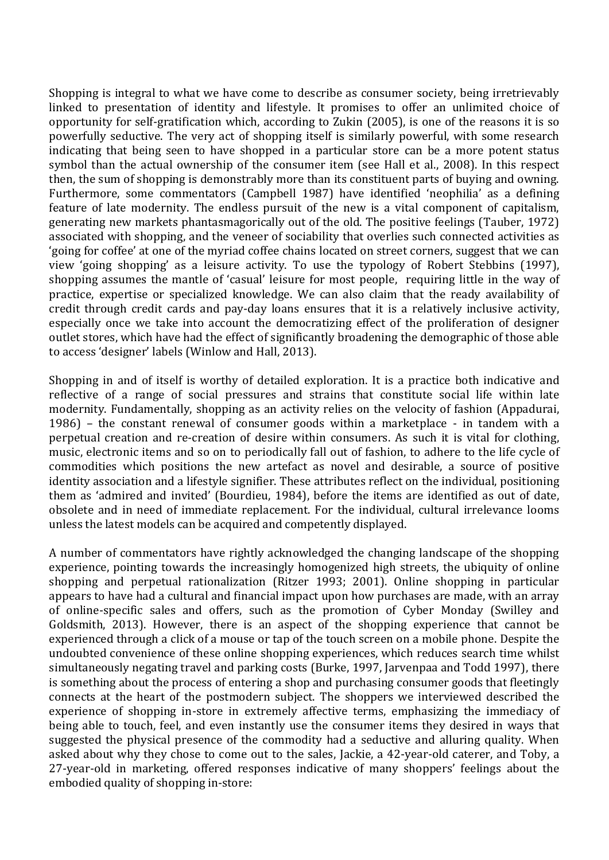Shopping is integral to what we have come to describe as consumer society, being irretrievably linked to presentation of identity and lifestyle. It promises to offer an unlimited choice of opportunity for self-gratification which, according to Zukin (2005), is one of the reasons it is so powerfully seductive. The very act of shopping itself is similarly powerful, with some research indicating that being seen to have shopped in a particular store can be a more potent status symbol than the actual ownership of the consumer item (see Hall et al., 2008). In this respect then, the sum of shopping is demonstrably more than its constituent parts of buying and owning. Furthermore, some commentators (Campbell 1987) have identified 'neophilia' as a defining feature of late modernity. The endless pursuit of the new is a vital component of capitalism, generating new markets phantasmagorically out of the old. The positive feelings (Tauber, 1972) associated with shopping, and the veneer of sociability that overlies such connected activities as 'going for coffee' at one of the myriad coffee chains located on street corners, suggest that we can view 'going shopping' as a leisure activity. To use the typology of Robert Stebbins (1997), shopping assumes the mantle of 'casual' leisure for most people, requiring little in the way of practice, expertise or specialized knowledge. We can also claim that the ready availability of credit through credit cards and pay-day loans ensures that it is a relatively inclusive activity, especially once we take into account the democratizing effect of the proliferation of designer outlet stores, which have had the effect of significantly broadening the demographic of those able to access 'designer' labels (Winlow and Hall, 2013).

Shopping in and of itself is worthy of detailed exploration. It is a practice both indicative and reflective of a range of social pressures and strains that constitute social life within late modernity. Fundamentally, shopping as an activity relies on the velocity of fashion (Appadurai, 1986) – the constant renewal of consumer goods within a marketplace - in tandem with a perpetual creation and re-creation of desire within consumers. As such it is vital for clothing, music, electronic items and so on to periodically fall out of fashion, to adhere to the life cycle of commodities which positions the new artefact as novel and desirable, a source of positive identity association and a lifestyle signifier. These attributes reflect on the individual, positioning them as 'admired and invited' (Bourdieu, 1984), before the items are identified as out of date, obsolete and in need of immediate replacement. For the individual, cultural irrelevance looms unless the latest models can be acquired and competently displayed.

A number of commentators have rightly acknowledged the changing landscape of the shopping experience, pointing towards the increasingly homogenized high streets, the ubiquity of online shopping and perpetual rationalization (Ritzer 1993; 2001). Online shopping in particular appears to have had a cultural and financial impact upon how purchases are made, with an array of online-specific sales and offers, such as the promotion of Cyber Monday (Swilley and Goldsmith, 2013). However, there is an aspect of the shopping experience that cannot be experienced through a click of a mouse or tap of the touch screen on a mobile phone. Despite the undoubted convenience of these online shopping experiences, which reduces search time whilst simultaneously negating travel and parking costs (Burke, 1997, Jarvenpaa and Todd 1997), there is something about the process of entering a shop and purchasing consumer goods that fleetingly connects at the heart of the postmodern subject. The shoppers we interviewed described the experience of shopping in-store in extremely affective terms, emphasizing the immediacy of being able to touch, feel, and even instantly use the consumer items they desired in ways that suggested the physical presence of the commodity had a seductive and alluring quality. When asked about why they chose to come out to the sales, Jackie, a 42-year-old caterer, and Toby, a 27-year-old in marketing, offered responses indicative of many shoppers' feelings about the embodied quality of shopping in-store: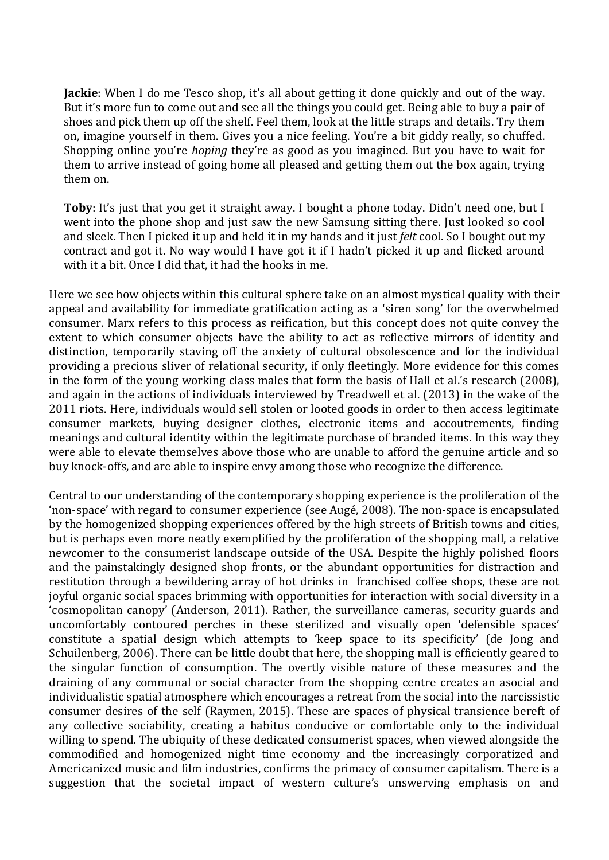**Jackie**: When I do me Tesco shop, it's all about getting it done quickly and out of the way. But it's more fun to come out and see all the things you could get. Being able to buy a pair of shoes and pick them up off the shelf. Feel them, look at the little straps and details. Try them on, imagine yourself in them. Gives you a nice feeling. You're a bit giddy really, so chuffed. Shopping online you're *hoping* they're as good as you imagined. But you have to wait for them to arrive instead of going home all pleased and getting them out the box again, trying them on.

**Toby**: It's just that you get it straight away. I bought a phone today. Didn't need one, but I went into the phone shop and just saw the new Samsung sitting there. Just looked so cool and sleek. Then I picked it up and held it in my hands and it just *felt* cool. So I bought out my contract and got it. No way would I have got it if I hadn't picked it up and flicked around with it a bit. Once I did that, it had the hooks in me.

Here we see how objects within this cultural sphere take on an almost mystical quality with their appeal and availability for immediate gratification acting as a 'siren song' for the overwhelmed consumer. Marx refers to this process as reification, but this concept does not quite convey the extent to which consumer objects have the ability to act as reflective mirrors of identity and distinction, temporarily staving off the anxiety of cultural obsolescence and for the individual providing a precious sliver of relational security, if only fleetingly. More evidence for this comes in the form of the young working class males that form the basis of Hall et al.'s research (2008), and again in the actions of individuals interviewed by Treadwell et al. (2013) in the wake of the 2011 riots. Here, individuals would sell stolen or looted goods in order to then access legitimate consumer markets, buying designer clothes, electronic items and accoutrements, finding meanings and cultural identity within the legitimate purchase of branded items. In this way they were able to elevate themselves above those who are unable to afford the genuine article and so buy knock-offs, and are able to inspire envy among those who recognize the difference.

Central to our understanding of the contemporary shopping experience is the proliferation of the 'non-space' with regard to consumer experience (see Augé, 2008). The non-space is encapsulated by the homogenized shopping experiences offered by the high streets of British towns and cities, but is perhaps even more neatly exemplified by the proliferation of the shopping mall, a relative newcomer to the consumerist landscape outside of the USA. Despite the highly polished floors and the painstakingly designed shop fronts, or the abundant opportunities for distraction and restitution through a bewildering array of hot drinks in franchised coffee shops, these are not joyful organic social spaces brimming with opportunities for interaction with social diversity in a 'cosmopolitan canopy' (Anderson, 2011). Rather, the surveillance cameras, security guards and uncomfortably contoured perches in these sterilized and visually open 'defensible spaces' constitute a spatial design which attempts to 'keep space to its specificity' (de Jong and Schuilenberg, 2006). There can be little doubt that here, the shopping mall is efficiently geared to the singular function of consumption. The overtly visible nature of these measures and the draining of any communal or social character from the shopping centre creates an asocial and individualistic spatial atmosphere which encourages a retreat from the social into the narcissistic consumer desires of the self (Raymen, 2015). These are spaces of physical transience bereft of any collective sociability, creating a habitus conducive or comfortable only to the individual willing to spend. The ubiquity of these dedicated consumerist spaces, when viewed alongside the commodified and homogenized night time economy and the increasingly corporatized and Americanized music and film industries, confirms the primacy of consumer capitalism. There is a suggestion that the societal impact of western culture's unswerving emphasis on and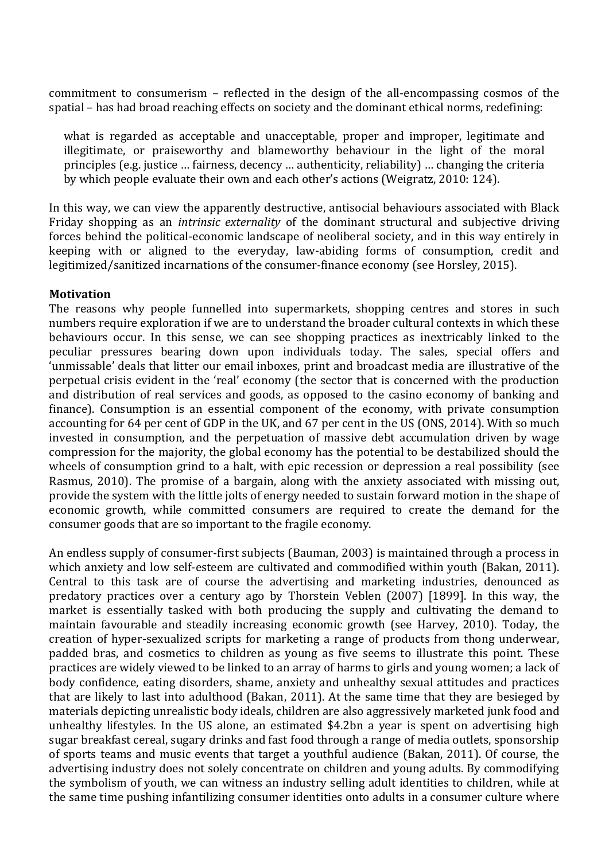commitment to consumerism – reflected in the design of the all-encompassing cosmos of the spatial – has had broad reaching effects on society and the dominant ethical norms, redefining:

what is regarded as acceptable and unacceptable, proper and improper, legitimate and illegitimate, or praiseworthy and blameworthy behaviour in the light of the moral principles (e.g. justice … fairness, decency … authenticity, reliability) … changing the criteria by which people evaluate their own and each other's actions (Weigratz, 2010: 124).

In this way, we can view the apparently destructive, antisocial behaviours associated with Black Friday shopping as an *intrinsic externality* of the dominant structural and subjective driving forces behind the political-economic landscape of neoliberal society, and in this way entirely in keeping with or aligned to the everyday, law-abiding forms of consumption, credit and legitimized/sanitized incarnations of the consumer-finance economy (see Horsley, 2015).

### **Motivation**

The reasons why people funnelled into supermarkets, shopping centres and stores in such numbers require exploration if we are to understand the broader cultural contexts in which these behaviours occur. In this sense, we can see shopping practices as inextricably linked to the peculiar pressures bearing down upon individuals today. The sales, special offers and 'unmissable' deals that litter our email inboxes, print and broadcast media are illustrative of the perpetual crisis evident in the 'real' economy (the sector that is concerned with the production and distribution of real services and goods, as opposed to the casino economy of banking and finance). Consumption is an essential component of the economy, with private consumption accounting for 64 per cent of GDP in the UK, and 67 per cent in the US (ONS, 2014). With so much invested in consumption, and the perpetuation of massive debt accumulation driven by wage compression for the majority, the global economy has the potential to be destabilized should the wheels of consumption grind to a halt, with epic recession or depression a real possibility (see Rasmus, 2010). The promise of a bargain, along with the anxiety associated with missing out, provide the system with the little jolts of energy needed to sustain forward motion in the shape of economic growth, while committed consumers are required to create the demand for the consumer goods that are so important to the fragile economy.

An endless supply of consumer-first subjects (Bauman, 2003) is maintained through a process in which anxiety and low self-esteem are cultivated and commodified within youth (Bakan, 2011). Central to this task are of course the advertising and marketing industries, denounced as predatory practices over a century ago by Thorstein Veblen (2007) [1899]. In this way, the market is essentially tasked with both producing the supply and cultivating the demand to maintain favourable and steadily increasing economic growth (see Harvey, 2010). Today, the creation of hyper-sexualized scripts for marketing a range of products from thong underwear, padded bras, and cosmetics to children as young as five seems to illustrate this point. These practices are widely viewed to be linked to an array of harms to girls and young women; a lack of body confidence, eating disorders, shame, anxiety and unhealthy sexual attitudes and practices that are likely to last into adulthood (Bakan, 2011). At the same time that they are besieged by materials depicting unrealistic body ideals, children are also aggressively marketed junk food and unhealthy lifestyles. In the US alone, an estimated \$4.2bn a year is spent on advertising high sugar breakfast cereal, sugary drinks and fast food through a range of media outlets, sponsorship of sports teams and music events that target a youthful audience (Bakan, 2011). Of course, the advertising industry does not solely concentrate on children and young adults. By commodifying the symbolism of youth, we can witness an industry selling adult identities to children, while at the same time pushing infantilizing consumer identities onto adults in a consumer culture where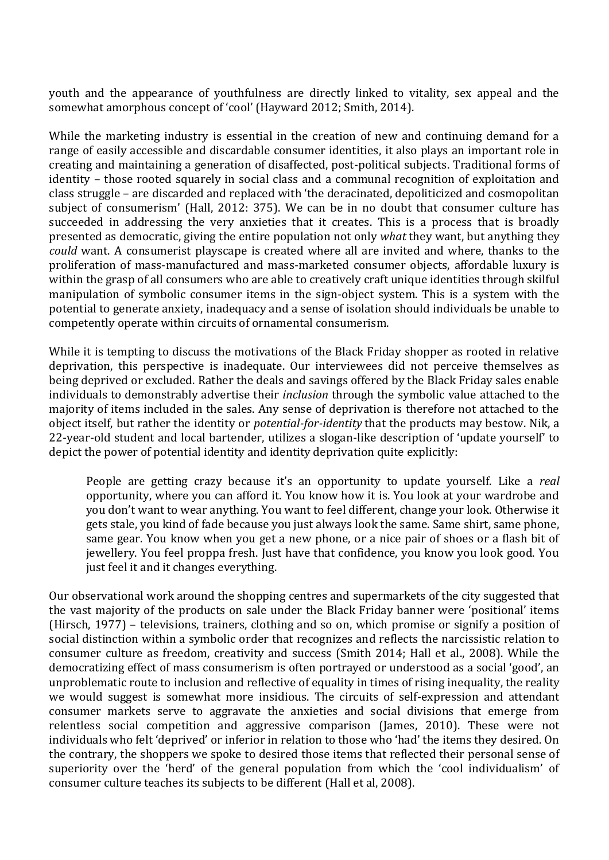youth and the appearance of youthfulness are directly linked to vitality, sex appeal and the somewhat amorphous concept of 'cool' (Hayward 2012; Smith, 2014).

While the marketing industry is essential in the creation of new and continuing demand for a range of easily accessible and discardable consumer identities, it also plays an important role in creating and maintaining a generation of disaffected, post-political subjects. Traditional forms of identity – those rooted squarely in social class and a communal recognition of exploitation and class struggle – are discarded and replaced with 'the deracinated, depoliticized and cosmopolitan subject of consumerism' (Hall, 2012: 375). We can be in no doubt that consumer culture has succeeded in addressing the very anxieties that it creates. This is a process that is broadly presented as democratic, giving the entire population not only *what* they want, but anything they *could* want. A consumerist playscape is created where all are invited and where, thanks to the proliferation of mass-manufactured and mass-marketed consumer objects, affordable luxury is within the grasp of all consumers who are able to creatively craft unique identities through skilful manipulation of symbolic consumer items in the sign-object system. This is a system with the potential to generate anxiety, inadequacy and a sense of isolation should individuals be unable to competently operate within circuits of ornamental consumerism.

While it is tempting to discuss the motivations of the Black Friday shopper as rooted in relative deprivation, this perspective is inadequate. Our interviewees did not perceive themselves as being deprived or excluded. Rather the deals and savings offered by the Black Friday sales enable individuals to demonstrably advertise their *inclusion* through the symbolic value attached to the majority of items included in the sales. Any sense of deprivation is therefore not attached to the object itself, but rather the identity or *potential-for-identity* that the products may bestow. Nik, a 22-year-old student and local bartender, utilizes a slogan-like description of 'update yourself' to depict the power of potential identity and identity deprivation quite explicitly:

People are getting crazy because it's an opportunity to update yourself. Like a *real*  opportunity, where you can afford it. You know how it is. You look at your wardrobe and you don't want to wear anything. You want to feel different, change your look. Otherwise it gets stale, you kind of fade because you just always look the same. Same shirt, same phone, same gear. You know when you get a new phone, or a nice pair of shoes or a flash bit of jewellery. You feel proppa fresh. Just have that confidence, you know you look good. You just feel it and it changes everything.

Our observational work around the shopping centres and supermarkets of the city suggested that the vast majority of the products on sale under the Black Friday banner were 'positional' items (Hirsch, 1977) – televisions, trainers, clothing and so on, which promise or signify a position of social distinction within a symbolic order that recognizes and reflects the narcissistic relation to consumer culture as freedom, creativity and success (Smith 2014; Hall et al., 2008). While the democratizing effect of mass consumerism is often portrayed or understood as a social 'good', an unproblematic route to inclusion and reflective of equality in times of rising inequality, the reality we would suggest is somewhat more insidious. The circuits of self-expression and attendant consumer markets serve to aggravate the anxieties and social divisions that emerge from relentless social competition and aggressive comparison (James, 2010). These were not individuals who felt 'deprived' or inferior in relation to those who 'had' the items they desired. On the contrary, the shoppers we spoke to desired those items that reflected their personal sense of superiority over the 'herd' of the general population from which the 'cool individualism' of consumer culture teaches its subjects to be different (Hall et al, 2008).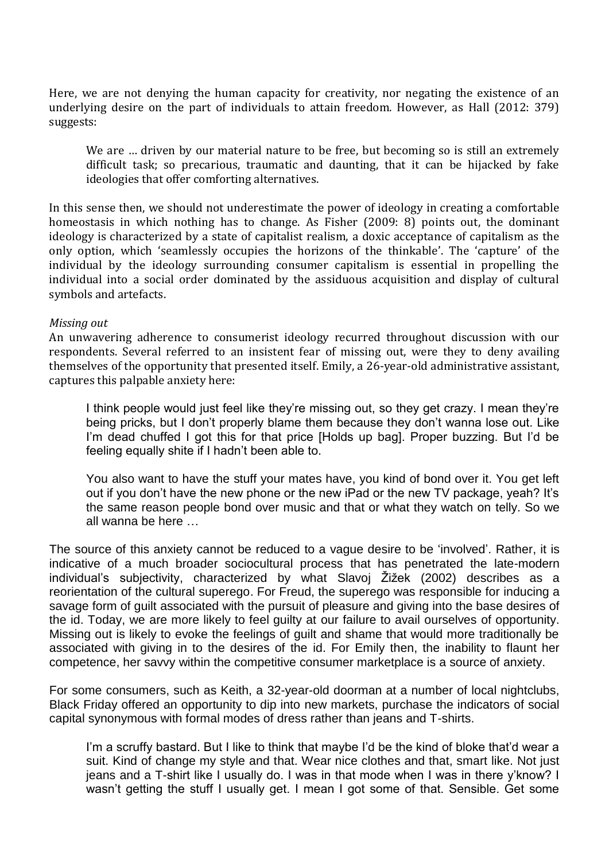Here, we are not denying the human capacity for creativity, nor negating the existence of an underlying desire on the part of individuals to attain freedom. However, as Hall (2012: 379) suggests:

We are ... driven by our material nature to be free, but becoming so is still an extremely difficult task; so precarious, traumatic and daunting, that it can be hijacked by fake ideologies that offer comforting alternatives.

In this sense then, we should not underestimate the power of ideology in creating a comfortable homeostasis in which nothing has to change. As Fisher (2009: 8) points out, the dominant ideology is characterized by a state of capitalist realism, a doxic acceptance of capitalism as the only option, which 'seamlessly occupies the horizons of the thinkable'. The 'capture' of the individual by the ideology surrounding consumer capitalism is essential in propelling the individual into a social order dominated by the assiduous acquisition and display of cultural symbols and artefacts.

#### *Missing out*

An unwavering adherence to consumerist ideology recurred throughout discussion with our respondents. Several referred to an insistent fear of missing out, were they to deny availing themselves of the opportunity that presented itself. Emily, a 26-year-old administrative assistant, captures this palpable anxiety here:

I think people would just feel like they're missing out, so they get crazy. I mean they're being pricks, but I don't properly blame them because they don't wanna lose out. Like I'm dead chuffed I got this for that price [Holds up bag]. Proper buzzing. But I'd be feeling equally shite if I hadn't been able to.

You also want to have the stuff your mates have, you kind of bond over it. You get left out if you don't have the new phone or the new iPad or the new TV package, yeah? It's the same reason people bond over music and that or what they watch on telly. So we all wanna be here

The source of this anxiety cannot be reduced to a vague desire to be 'involved'. Rather, it is indicative of a much broader sociocultural process that has penetrated the late-modern individual's subjectivity, characterized by what Slavoj Žižek (2002) describes as a reorientation of the cultural superego. For Freud, the superego was responsible for inducing a savage form of guilt associated with the pursuit of pleasure and giving into the base desires of the id. Today, we are more likely to feel guilty at our failure to avail ourselves of opportunity. Missing out is likely to evoke the feelings of guilt and shame that would more traditionally be associated with giving in to the desires of the id. For Emily then, the inability to flaunt her competence, her savvy within the competitive consumer marketplace is a source of anxiety.

For some consumers, such as Keith, a 32-year-old doorman at a number of local nightclubs, Black Friday offered an opportunity to dip into new markets, purchase the indicators of social capital synonymous with formal modes of dress rather than jeans and T-shirts.

I'm a scruffy bastard. But I like to think that maybe I'd be the kind of bloke that'd wear a suit. Kind of change my style and that. Wear nice clothes and that, smart like. Not just jeans and a T-shirt like I usually do. I was in that mode when I was in there y'know? I wasn't getting the stuff I usually get. I mean I got some of that. Sensible. Get some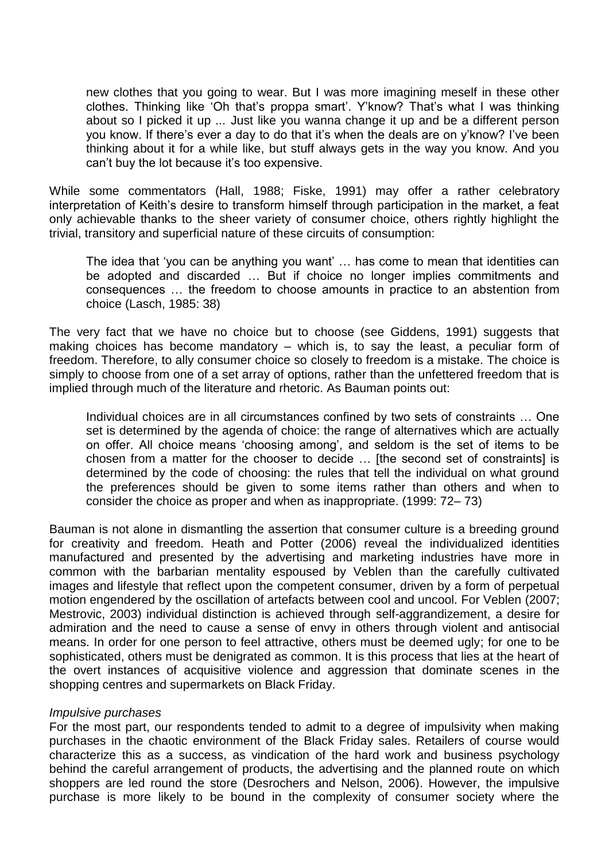new clothes that you going to wear. But I was more imagining meself in these other clothes. Thinking like 'Oh that's proppa smart'. Y'know? That's what I was thinking about so I picked it up ... Just like you wanna change it up and be a different person you know. If there's ever a day to do that it's when the deals are on y'know? I've been thinking about it for a while like, but stuff always gets in the way you know. And you can't buy the lot because it's too expensive.

While some commentators (Hall, 1988; Fiske, 1991) may offer a rather celebratory interpretation of Keith's desire to transform himself through participation in the market, a feat only achievable thanks to the sheer variety of consumer choice, others rightly highlight the trivial, transitory and superficial nature of these circuits of consumption:

The idea that 'you can be anything you want' … has come to mean that identities can be adopted and discarded … But if choice no longer implies commitments and consequences … the freedom to choose amounts in practice to an abstention from choice (Lasch, 1985: 38)

The very fact that we have no choice but to choose (see Giddens, 1991) suggests that making choices has become mandatory – which is, to say the least, a peculiar form of freedom. Therefore, to ally consumer choice so closely to freedom is a mistake. The choice is simply to choose from one of a set array of options, rather than the unfettered freedom that is implied through much of the literature and rhetoric. As Bauman points out:

Individual choices are in all circumstances confined by two sets of constraints … One set is determined by the agenda of choice: the range of alternatives which are actually on offer. All choice means 'choosing among', and seldom is the set of items to be chosen from a matter for the chooser to decide … [the second set of constraints] is determined by the code of choosing: the rules that tell the individual on what ground the preferences should be given to some items rather than others and when to consider the choice as proper and when as inappropriate. (1999: 72– 73)

Bauman is not alone in dismantling the assertion that consumer culture is a breeding ground for creativity and freedom. Heath and Potter (2006) reveal the individualized identities manufactured and presented by the advertising and marketing industries have more in common with the barbarian mentality espoused by Veblen than the carefully cultivated images and lifestyle that reflect upon the competent consumer, driven by a form of perpetual motion engendered by the oscillation of artefacts between cool and uncool. For Veblen (2007; Mestrovic, 2003) individual distinction is achieved through self-aggrandizement, a desire for admiration and the need to cause a sense of envy in others through violent and antisocial means. In order for one person to feel attractive, others must be deemed ugly; for one to be sophisticated, others must be denigrated as common. It is this process that lies at the heart of the overt instances of acquisitive violence and aggression that dominate scenes in the shopping centres and supermarkets on Black Friday.

#### *Impulsive purchases*

For the most part, our respondents tended to admit to a degree of impulsivity when making purchases in the chaotic environment of the Black Friday sales. Retailers of course would characterize this as a success, as vindication of the hard work and business psychology behind the careful arrangement of products, the advertising and the planned route on which shoppers are led round the store (Desrochers and Nelson, 2006). However, the impulsive purchase is more likely to be bound in the complexity of consumer society where the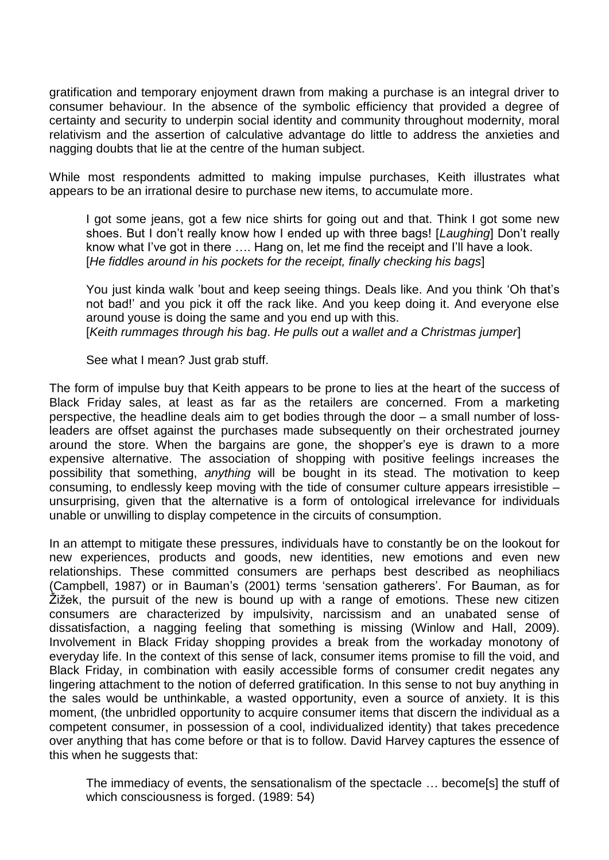gratification and temporary enjoyment drawn from making a purchase is an integral driver to consumer behaviour. In the absence of the symbolic efficiency that provided a degree of certainty and security to underpin social identity and community throughout modernity, moral relativism and the assertion of calculative advantage do little to address the anxieties and nagging doubts that lie at the centre of the human subject.

While most respondents admitted to making impulse purchases, Keith illustrates what appears to be an irrational desire to purchase new items, to accumulate more.

I got some jeans, got a few nice shirts for going out and that. Think I got some new shoes. But I don't really know how I ended up with three bags! [*Laughing*] Don't really know what I've got in there …. Hang on, let me find the receipt and I'll have a look. [*He fiddles around in his pockets for the receipt, finally checking his bags*]

You just kinda walk 'bout and keep seeing things. Deals like. And you think 'Oh that's not bad!' and you pick it off the rack like. And you keep doing it. And everyone else around youse is doing the same and you end up with this. [*Keith rummages through his bag*. *He pulls out a wallet and a Christmas jumper*]

See what I mean? Just grab stuff.

The form of impulse buy that Keith appears to be prone to lies at the heart of the success of Black Friday sales, at least as far as the retailers are concerned. From a marketing perspective, the headline deals aim to get bodies through the door – a small number of lossleaders are offset against the purchases made subsequently on their orchestrated journey around the store. When the bargains are gone, the shopper's eye is drawn to a more expensive alternative. The association of shopping with positive feelings increases the possibility that something, *anything* will be bought in its stead. The motivation to keep consuming, to endlessly keep moving with the tide of consumer culture appears irresistible – unsurprising, given that the alternative is a form of ontological irrelevance for individuals unable or unwilling to display competence in the circuits of consumption.

In an attempt to mitigate these pressures, individuals have to constantly be on the lookout for new experiences, products and goods, new identities, new emotions and even new relationships. These committed consumers are perhaps best described as neophiliacs (Campbell, 1987) or in Bauman's (2001) terms 'sensation gatherers'. For Bauman, as for Žižek, the pursuit of the new is bound up with a range of emotions. These new citizen consumers are characterized by impulsivity, narcissism and an unabated sense of dissatisfaction, a nagging feeling that something is missing (Winlow and Hall, 2009). Involvement in Black Friday shopping provides a break from the workaday monotony of everyday life. In the context of this sense of lack, consumer items promise to fill the void, and Black Friday, in combination with easily accessible forms of consumer credit negates any lingering attachment to the notion of deferred gratification. In this sense to not buy anything in the sales would be unthinkable, a wasted opportunity, even a source of anxiety. It is this moment, (the unbridled opportunity to acquire consumer items that discern the individual as a competent consumer, in possession of a cool, individualized identity) that takes precedence over anything that has come before or that is to follow. David Harvey captures the essence of this when he suggests that:

The immediacy of events, the sensationalism of the spectacle … become[s] the stuff of which consciousness is forged. (1989: 54)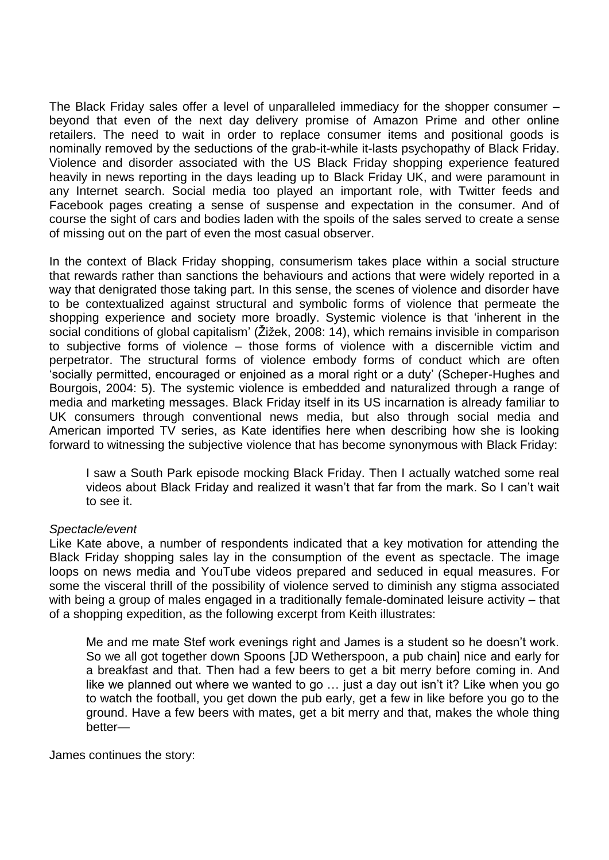The Black Friday sales offer a level of unparalleled immediacy for the shopper consumer – beyond that even of the next day delivery promise of Amazon Prime and other online retailers. The need to wait in order to replace consumer items and positional goods is nominally removed by the seductions of the grab-it-while it-lasts psychopathy of Black Friday. Violence and disorder associated with the US Black Friday shopping experience featured heavily in news reporting in the days leading up to Black Friday UK, and were paramount in any Internet search. Social media too played an important role, with Twitter feeds and Facebook pages creating a sense of suspense and expectation in the consumer. And of course the sight of cars and bodies laden with the spoils of the sales served to create a sense of missing out on the part of even the most casual observer.

In the context of Black Friday shopping, consumerism takes place within a social structure that rewards rather than sanctions the behaviours and actions that were widely reported in a way that denigrated those taking part. In this sense, the scenes of violence and disorder have to be contextualized against structural and symbolic forms of violence that permeate the shopping experience and society more broadly. Systemic violence is that 'inherent in the social conditions of global capitalism' (Žižek, 2008: 14), which remains invisible in comparison to subjective forms of violence – those forms of violence with a discernible victim and perpetrator. The structural forms of violence embody forms of conduct which are often 'socially permitted, encouraged or enjoined as a moral right or a duty' (Scheper-Hughes and Bourgois, 2004: 5). The systemic violence is embedded and naturalized through a range of media and marketing messages. Black Friday itself in its US incarnation is already familiar to UK consumers through conventional news media, but also through social media and American imported TV series, as Kate identifies here when describing how she is looking forward to witnessing the subjective violence that has become synonymous with Black Friday:

I saw a South Park episode mocking Black Friday. Then I actually watched some real videos about Black Friday and realized it wasn't that far from the mark. So I can't wait to see it.

#### *Spectacle/event*

Like Kate above, a number of respondents indicated that a key motivation for attending the Black Friday shopping sales lay in the consumption of the event as spectacle. The image loops on news media and YouTube videos prepared and seduced in equal measures. For some the visceral thrill of the possibility of violence served to diminish any stigma associated with being a group of males engaged in a traditionally female-dominated leisure activity – that of a shopping expedition, as the following excerpt from Keith illustrates:

Me and me mate Stef work evenings right and James is a student so he doesn't work. So we all got together down Spoons [JD Wetherspoon, a pub chain] nice and early for a breakfast and that. Then had a few beers to get a bit merry before coming in. And like we planned out where we wanted to go … just a day out isn't it? Like when you go to watch the football, you get down the pub early, get a few in like before you go to the ground. Have a few beers with mates, get a bit merry and that, makes the whole thing better—

James continues the story: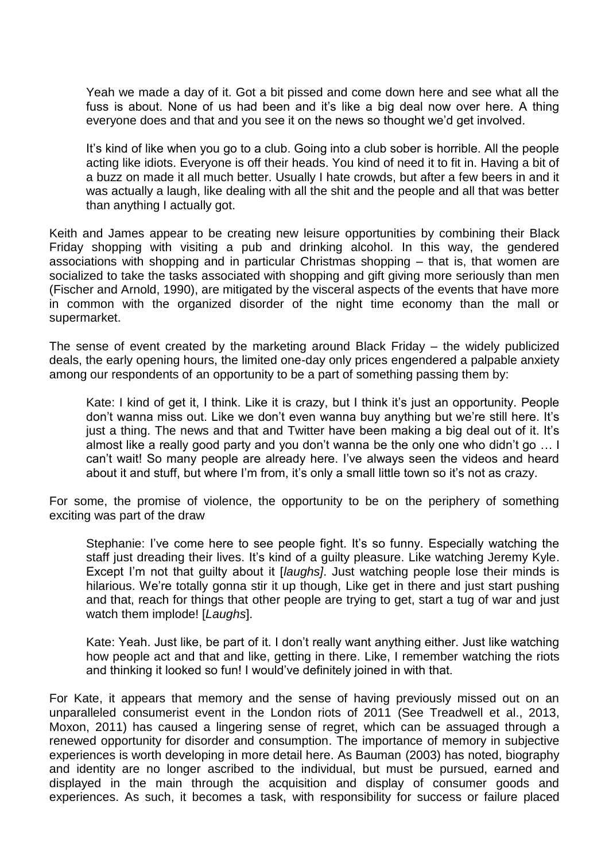Yeah we made a day of it. Got a bit pissed and come down here and see what all the fuss is about. None of us had been and it's like a big deal now over here. A thing everyone does and that and you see it on the news so thought we'd get involved.

It's kind of like when you go to a club. Going into a club sober is horrible. All the people acting like idiots. Everyone is off their heads. You kind of need it to fit in. Having a bit of a buzz on made it all much better. Usually I hate crowds, but after a few beers in and it was actually a laugh, like dealing with all the shit and the people and all that was better than anything I actually got.

Keith and James appear to be creating new leisure opportunities by combining their Black Friday shopping with visiting a pub and drinking alcohol. In this way, the gendered associations with shopping and in particular Christmas shopping – that is, that women are socialized to take the tasks associated with shopping and gift giving more seriously than men (Fischer and Arnold, 1990), are mitigated by the visceral aspects of the events that have more in common with the organized disorder of the night time economy than the mall or supermarket.

The sense of event created by the marketing around Black Friday – the widely publicized deals, the early opening hours, the limited one-day only prices engendered a palpable anxiety among our respondents of an opportunity to be a part of something passing them by:

Kate: I kind of get it, I think. Like it is crazy, but I think it's just an opportunity. People don't wanna miss out. Like we don't even wanna buy anything but we're still here. It's just a thing. The news and that and Twitter have been making a big deal out of it. It's almost like a really good party and you don't wanna be the only one who didn't go … I can't wait! So many people are already here. I've always seen the videos and heard about it and stuff, but where I'm from, it's only a small little town so it's not as crazy.

For some, the promise of violence, the opportunity to be on the periphery of something exciting was part of the draw

Stephanie: I've come here to see people fight. It's so funny. Especially watching the staff just dreading their lives. It's kind of a guilty pleasure. Like watching Jeremy Kyle. Except I'm not that guilty about it [*laughs]*. Just watching people lose their minds is hilarious. We're totally gonna stir it up though, Like get in there and just start pushing and that, reach for things that other people are trying to get, start a tug of war and just watch them implode! [*Laughs*].

Kate: Yeah. Just like, be part of it. I don't really want anything either. Just like watching how people act and that and like, getting in there. Like, I remember watching the riots and thinking it looked so fun! I would've definitely joined in with that.

For Kate, it appears that memory and the sense of having previously missed out on an unparalleled consumerist event in the London riots of 2011 (See Treadwell et al., 2013, Moxon, 2011) has caused a lingering sense of regret, which can be assuaged through a renewed opportunity for disorder and consumption. The importance of memory in subjective experiences is worth developing in more detail here. As Bauman (2003) has noted, biography and identity are no longer ascribed to the individual, but must be pursued, earned and displayed in the main through the acquisition and display of consumer goods and experiences. As such, it becomes a task, with responsibility for success or failure placed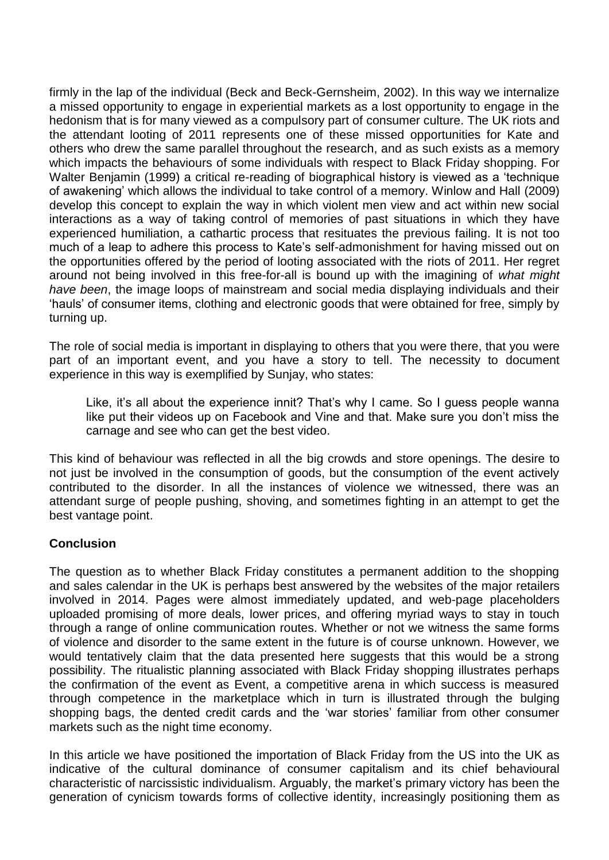firmly in the lap of the individual (Beck and Beck-Gernsheim, 2002). In this way we internalize a missed opportunity to engage in experiential markets as a lost opportunity to engage in the hedonism that is for many viewed as a compulsory part of consumer culture. The UK riots and the attendant looting of 2011 represents one of these missed opportunities for Kate and others who drew the same parallel throughout the research, and as such exists as a memory which impacts the behaviours of some individuals with respect to Black Friday shopping. For Walter Benjamin (1999) a critical re-reading of biographical history is viewed as a 'technique of awakening' which allows the individual to take control of a memory. Winlow and Hall (2009) develop this concept to explain the way in which violent men view and act within new social interactions as a way of taking control of memories of past situations in which they have experienced humiliation, a cathartic process that resituates the previous failing. It is not too much of a leap to adhere this process to Kate's self-admonishment for having missed out on the opportunities offered by the period of looting associated with the riots of 2011. Her regret around not being involved in this free-for-all is bound up with the imagining of *what might have been*, the image loops of mainstream and social media displaying individuals and their 'hauls' of consumer items, clothing and electronic goods that were obtained for free, simply by turning up.

The role of social media is important in displaying to others that you were there, that you were part of an important event, and you have a story to tell. The necessity to document experience in this way is exemplified by Sunjay, who states:

Like, it's all about the experience innit? That's why I came. So I guess people wanna like put their videos up on Facebook and Vine and that. Make sure you don't miss the carnage and see who can get the best video.

This kind of behaviour was reflected in all the big crowds and store openings. The desire to not just be involved in the consumption of goods, but the consumption of the event actively contributed to the disorder. In all the instances of violence we witnessed, there was an attendant surge of people pushing, shoving, and sometimes fighting in an attempt to get the best vantage point.

### **Conclusion**

The question as to whether Black Friday constitutes a permanent addition to the shopping and sales calendar in the UK is perhaps best answered by the websites of the major retailers involved in 2014. Pages were almost immediately updated, and web-page placeholders uploaded promising of more deals, lower prices, and offering myriad ways to stay in touch through a range of online communication routes. Whether or not we witness the same forms of violence and disorder to the same extent in the future is of course unknown. However, we would tentatively claim that the data presented here suggests that this would be a strong possibility. The ritualistic planning associated with Black Friday shopping illustrates perhaps the confirmation of the event as Event, a competitive arena in which success is measured through competence in the marketplace which in turn is illustrated through the bulging shopping bags, the dented credit cards and the 'war stories' familiar from other consumer markets such as the night time economy.

In this article we have positioned the importation of Black Friday from the US into the UK as indicative of the cultural dominance of consumer capitalism and its chief behavioural characteristic of narcissistic individualism. Arguably, the market's primary victory has been the generation of cynicism towards forms of collective identity, increasingly positioning them as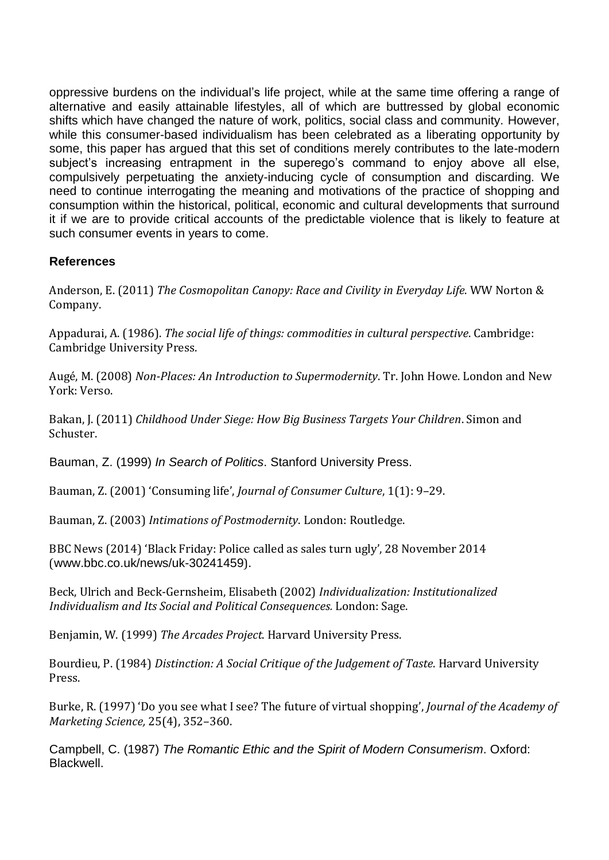oppressive burdens on the individual's life project, while at the same time offering a range of alternative and easily attainable lifestyles, all of which are buttressed by global economic shifts which have changed the nature of work, politics, social class and community. However, while this consumer-based individualism has been celebrated as a liberating opportunity by some, this paper has argued that this set of conditions merely contributes to the late-modern subject's increasing entrapment in the superego's command to enjoy above all else, compulsively perpetuating the anxiety-inducing cycle of consumption and discarding. We need to continue interrogating the meaning and motivations of the practice of shopping and consumption within the historical, political, economic and cultural developments that surround it if we are to provide critical accounts of the predictable violence that is likely to feature at such consumer events in years to come.

# **References**

Anderson, E. (2011) *The Cosmopolitan Canopy: Race and Civility in Everyday Life*. WW Norton & Company.

Appadurai, A. (1986). *The social life of things: commodities in cultural perspective*. Cambridge: Cambridge University Press.

Augé, M. (2008) *Non-Places: An Introduction to Supermodernity*. Tr. John Howe. London and New York: Verso.

Bakan, J. (2011) *Childhood Under Siege: How Big Business Targets Your Children*. Simon and Schuster.

Bauman, Z. (1999) *In Search of Politics*. Stanford University Press.

Bauman, Z. (2001) 'Consuming life', *Journal of Consumer Culture*, 1(1): 9–29.

Bauman, Z. (2003) *Intimations of Postmodernity*. London: Routledge.

BBC News (2014) 'Black Friday: Police called as sales turn ugly', 28 November 2014 (www.bbc.co.uk/news/uk-30241459).

Beck, Ulrich and Beck-Gernsheim, Elisabeth (2002) *Individualization: Institutionalized Individualism and Its Social and Political Consequences.* London: Sage.

Benjamin, W. (1999) *The Arcades Project*. Harvard University Press.

Bourdieu, P. (1984) *Distinction: A Social Critique of the Judgement of Taste*. Harvard University Press.

Burke, R. (1997) 'Do you see what I see? The future of virtual shopping', *Journal of the Academy of Marketing Science,* 25(4), 352–360.

Campbell, C. (1987) *The Romantic Ethic and the Spirit of Modern Consumerism*. Oxford: **Blackwell**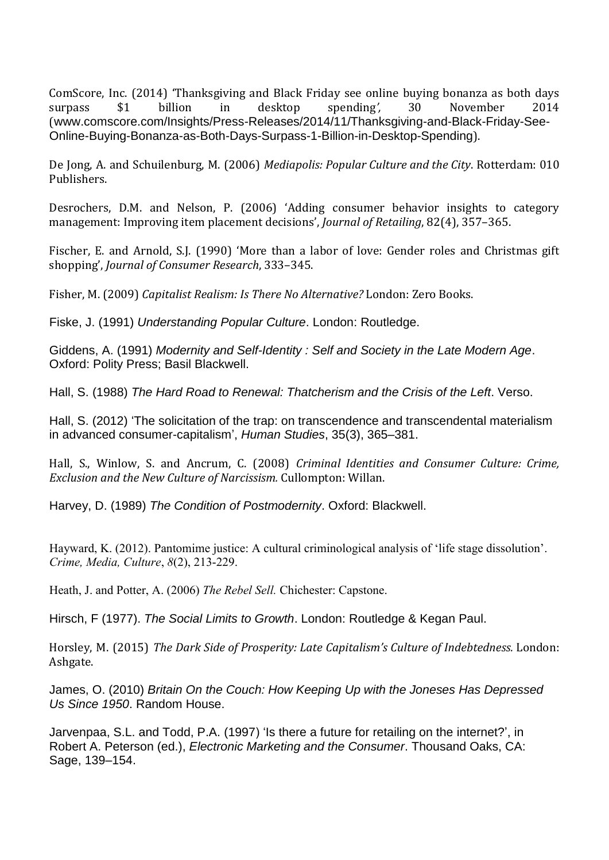ComScore, Inc. (2014) 'Thanksgiving and Black Friday see online buying bonanza as both days surpass \$1 billion in desktop spending*',* 30 November 2014 (www.comscore.com/Insights/Press-Releases/2014/11/Thanksgiving-and-Black-Friday-See-Online-Buying-Bonanza-as-Both-Days-Surpass-1-Billion-in-Desktop-Spending).

De Jong, A. and Schuilenburg, M. (2006) *Mediapolis: Popular Culture and the City*. Rotterdam: 010 Publishers.

Desrochers, D.M. and Nelson, P. (2006) 'Adding consumer behavior insights to category management: Improving item placement decisions', *Journal of Retailing*, 82(4), 357–365.

Fischer, E. and Arnold, S.J. (1990) 'More than a labor of love: Gender roles and Christmas gift shopping', *Journal of Consumer Research*, 333–345.

Fisher, M. (2009) *Capitalist Realism: Is There No Alternative?* London: Zero Books.

Fiske, J. (1991) *Understanding Popular Culture*. London: Routledge.

Giddens, A. (1991) *Modernity and Self-Identity : Self and Society in the Late Modern Age*. Oxford: Polity Press; Basil Blackwell.

Hall, S. (1988) *The Hard Road to Renewal: Thatcherism and the Crisis of the Left*. Verso.

Hall, S. (2012) 'The solicitation of the trap: on transcendence and transcendental materialism in advanced consumer-capitalism', *Human Studies*, 35(3), 365–381.

Hall, S., Winlow, S. and Ancrum, C. (2008) *Criminal Identities and Consumer Culture: Crime, Exclusion and the New Culture of Narcissism.* Cullompton: Willan.

Harvey, D. (1989) *The Condition of Postmodernity*. Oxford: Blackwell.

Hayward, K. (2012). Pantomime justice: A cultural criminological analysis of 'life stage dissolution'. *Crime, Media, Culture*, *8*(2), 213-229.

Heath, J. and Potter, A. (2006) *The Rebel Sell.* Chichester: Capstone.

Hirsch, F (1977). *The Social Limits to Growth*. London: Routledge & Kegan Paul.

Horsley, M. (2015) *The Dark Side of Prosperity: Late Capitalism's Culture of Indebtedness.* London: Ashgate.

James, O. (2010) *Britain On the Couch: How Keeping Up with the Joneses Has Depressed Us Since 1950*. Random House.

Jarvenpaa, S.L. and Todd, P.A. (1997) 'Is there a future for retailing on the internet?', in Robert A. Peterson (ed.), *Electronic Marketing and the Consumer*. Thousand Oaks, CA: Sage, 139–154.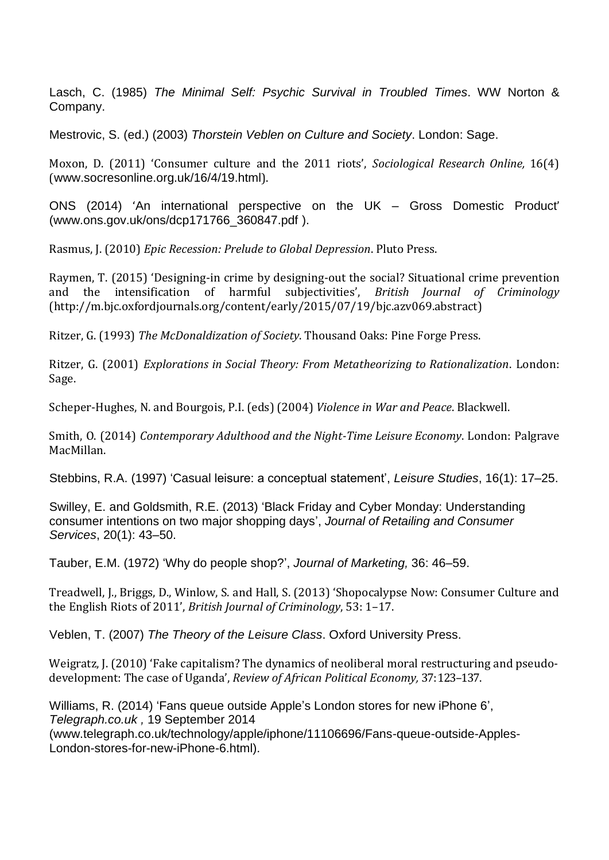Lasch, C. (1985) *The Minimal Self: Psychic Survival in Troubled Times*. WW Norton & Company.

Mestrovic, S. (ed.) (2003) *Thorstein Veblen on Culture and Society*. London: Sage.

Moxon, D. (2011) 'Consumer culture and the 2011 riots', *Sociological Research Online,* 16(4) (www.socresonline.org.uk/16/4/19.html).

ONS (2014) 'An international perspective on the UK – Gross Domestic Product' (www.ons.gov.uk/ons/dcp171766\_360847.pdf ).

Rasmus, J. (2010) *Epic Recession: Prelude to Global Depression*. Pluto Press.

Raymen, T. (2015) 'Designing-in crime by designing-out the social? Situational crime prevention and the intensification of harmful subjectivities', *British Journal of Criminology* (http://m.bjc.oxfordjournals.org/content/early/2015/07/19/bjc.azv069.abstract)

Ritzer, G. (1993) *The McDonaldization of Society*. Thousand Oaks: Pine Forge Press.

Ritzer, G. (2001) *Explorations in Social Theory: From Metatheorizing to Rationalization*. London: Sage.

Scheper-Hughes, N. and Bourgois, P.I. (eds) (2004) *Violence in War and Peace*. Blackwell.

Smith, O. (2014) *Contemporary Adulthood and the Night-Time Leisure Economy*. London: Palgrave MacMillan.

Stebbins, R.A. (1997) 'Casual leisure: a conceptual statement', *Leisure Studies*, 16(1): 17–25.

Swilley, E. and Goldsmith, R.E. (2013) 'Black Friday and Cyber Monday: Understanding consumer intentions on two major shopping days', *Journal of Retailing and Consumer Services*, 20(1): 43–50.

Tauber, E.M. (1972) 'Why do people shop?', *Journal of Marketing,* 36: 46–59.

Treadwell, J., Briggs, D., Winlow, S. and Hall, S. (2013) 'Shopocalypse Now: Consumer Culture and the English Riots of 2011', *British Journal of Criminology*, 53: 1–17.

Veblen, T. (2007) *The Theory of the Leisure Class*. Oxford University Press.

Weigratz, J. (2010) 'Fake capitalism? The dynamics of neoliberal moral restructuring and pseudodevelopment: The case of Uganda', *Review of African Political Economy,* 37:123–137.

Williams, R. (2014) 'Fans queue outside Apple's London stores for new iPhone 6', *Telegraph.co.uk ,* 19 September 2014 (www.telegraph.co.uk/technology/apple/iphone/11106696/Fans-queue-outside-Apples-London-stores-for-new-iPhone-6.html).